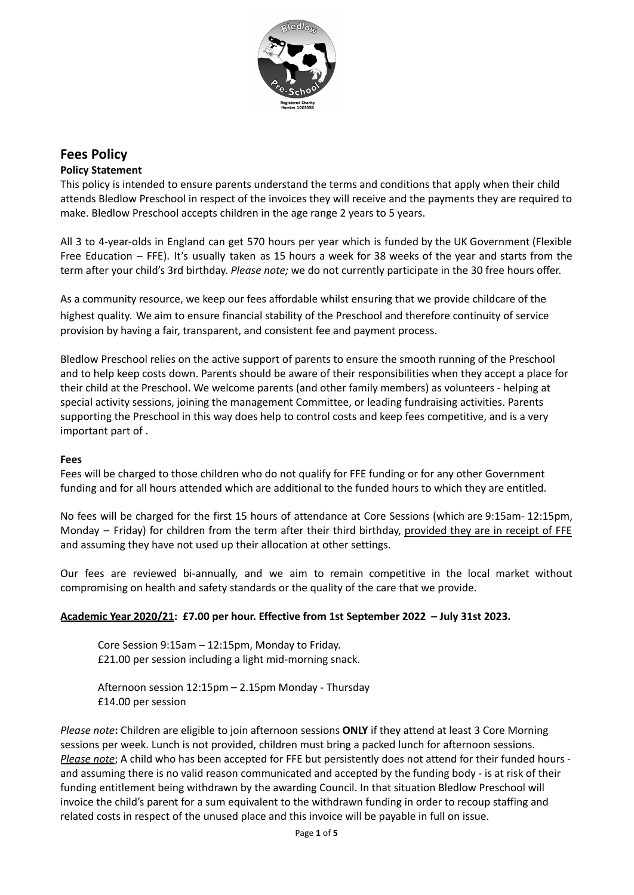

# **Fees Policy**

# **Policy Statement**

This policy is intended to ensure parents understand the terms and conditions that apply when their child attends Bledlow Preschool in respect of the invoices they will receive and the payments they are required to make. Bledlow Preschool accepts children in the age range 2 years to 5 years.

All 3 to 4-year-olds in England can get 570 hours per year which is funded by the UK Government (Flexible Free Education – FFE). It's usually taken as 15 hours a week for 38 weeks of the year and starts from the term after your child's 3rd birthday. *Please note;* we do not currently participate in the 30 free hours offer.

As a community resource, we keep our fees affordable whilst ensuring that we provide childcare of the highest quality. We aim to ensure financial stability of the Preschool and therefore continuity of service provision by having a fair, transparent, and consistent fee and payment process.

Bledlow Preschool relies on the active support of parents to ensure the smooth running of the Preschool and to help keep costs down. Parents should be aware of their responsibilities when they accept a place for their child at the Preschool. We welcome parents (and other family members) as volunteers - helping at special activity sessions, joining the management Committee, or leading fundraising activities. Parents supporting the Preschool in this way does help to control costs and keep fees competitive, and is a very important part of .

# **Fees**

Fees will be charged to those children who do not qualify for FFE funding or for any other Government funding and for all hours attended which are additional to the funded hours to which they are entitled.

No fees will be charged for the first 15 hours of attendance at Core Sessions (which are 9:15am- 12:15pm, Monday – Friday) for children from the term after their third birthday, provided they are in receipt of FFE and assuming they have not used up their allocation at other settings.

Our fees are reviewed bi-annually, and we aim to remain competitive in the local market without compromising on health and safety standards or the quality of the care that we provide.

# **Academic Year 2020/21: £7.00 per hour. Effective from 1st September 2022 – July 31st 2023.**

Core Session 9:15am – 12:15pm, Monday to Friday. £21.00 per session including a light mid-morning snack.

Afternoon session 12:15pm – 2.15pm Monday - Thursday £14.00 per session

*Please note***:** Children are eligible to join afternoon sessions **ONLY** if they attend at least 3 Core Morning sessions per week. Lunch is not provided, children must bring a packed lunch for afternoon sessions. *Please note*; A child who has been accepted for FFE but persistently does not attend for their funded hours and assuming there is no valid reason communicated and accepted by the funding body - is at risk of their funding entitlement being withdrawn by the awarding Council. In that situation Bledlow Preschool will invoice the child's parent for a sum equivalent to the withdrawn funding in order to recoup staffing and related costs in respect of the unused place and this invoice will be payable in full on issue.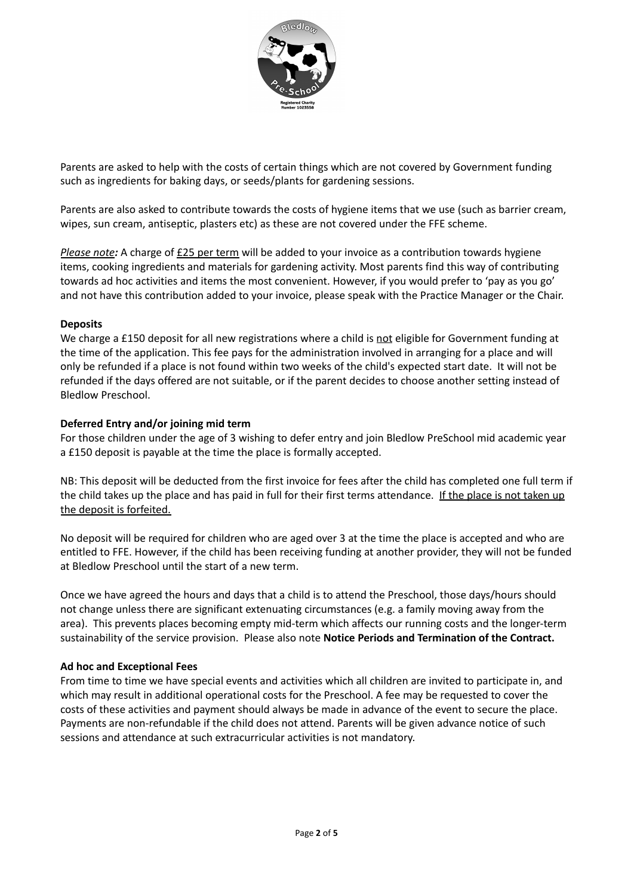

Parents are asked to help with the costs of certain things which are not covered by Government funding such as ingredients for baking days, or seeds/plants for gardening sessions.

Parents are also asked to contribute towards the costs of hygiene items that we use (such as barrier cream, wipes, sun cream, antiseptic, plasters etc) as these are not covered under the FFE scheme.

*Please note:* A charge of £25 per term will be added to your invoice as a contribution towards hygiene items, cooking ingredients and materials for gardening activity. Most parents find this way of contributing towards ad hoc activities and items the most convenient. However, if you would prefer to 'pay as you go' and not have this contribution added to your invoice, please speak with the Practice Manager or the Chair.

### **Deposits**

We charge a £150 deposit for all new registrations where a child is not eligible for Government funding at the time of the application. This fee pays for the administration involved in arranging for a place and will only be refunded if a place is not found within two weeks of the child's expected start date. It will not be refunded if the days offered are not suitable, or if the parent decides to choose another setting instead of Bledlow Preschool.

### **Deferred Entry and/or joining mid term**

For those children under the age of 3 wishing to defer entry and join Bledlow PreSchool mid academic year a £150 deposit is payable at the time the place is formally accepted.

NB: This deposit will be deducted from the first invoice for fees after the child has completed one full term if the child takes up the place and has paid in full for their first terms attendance. If the place is not taken up the deposit is forfeited.

No deposit will be required for children who are aged over 3 at the time the place is accepted and who are entitled to FFE. However, if the child has been receiving funding at another provider, they will not be funded at Bledlow Preschool until the start of a new term.

Once we have agreed the hours and days that a child is to attend the Preschool, those days/hours should not change unless there are significant extenuating circumstances (e.g. a family moving away from the area). This prevents places becoming empty mid-term which affects our running costs and the longer-term sustainability of the service provision. Please also note **Notice Periods and Termination of the Contract.**

#### **Ad hoc and Exceptional Fees**

From time to time we have special events and activities which all children are invited to participate in, and which may result in additional operational costs for the Preschool. A fee may be requested to cover the costs of these activities and payment should always be made in advance of the event to secure the place. Payments are non-refundable if the child does not attend. Parents will be given advance notice of such sessions and attendance at such extracurricular activities is not mandatory.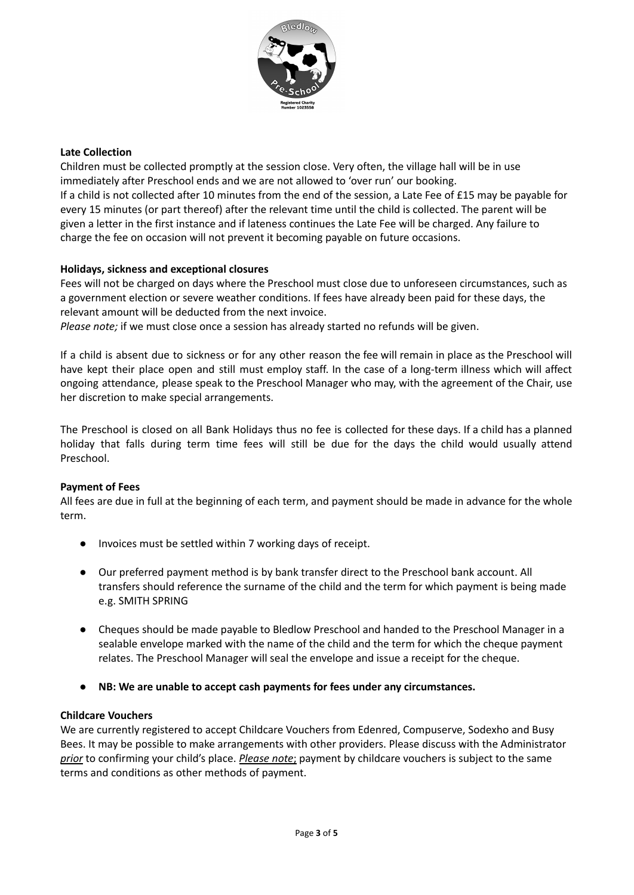

# **Late Collection**

Children must be collected promptly at the session close. Very often, the village hall will be in use immediately after Preschool ends and we are not allowed to 'over run' our booking. If a child is not collected after 10 minutes from the end of the session, a Late Fee of £15 may be payable for every 15 minutes (or part thereof) after the relevant time until the child is collected. The parent will be given a letter in the first instance and if lateness continues the Late Fee will be charged. Any failure to charge the fee on occasion will not prevent it becoming payable on future occasions.

#### **Holidays, sickness and exceptional closures**

Fees will not be charged on days where the Preschool must close due to unforeseen circumstances, such as a government election or severe weather conditions. If fees have already been paid for these days, the relevant amount will be deducted from the next invoice.

*Please note;* if we must close once a session has already started no refunds will be given.

If a child is absent due to sickness or for any other reason the fee will remain in place as the Preschool will have kept their place open and still must employ staff. In the case of a long-term illness which will affect ongoing attendance, please speak to the Preschool Manager who may, with the agreement of the Chair, use her discretion to make special arrangements.

The Preschool is closed on all Bank Holidays thus no fee is collected for these days. If a child has a planned holiday that falls during term time fees will still be due for the days the child would usually attend Preschool.

#### **Payment of Fees**

All fees are due in full at the beginning of each term, and payment should be made in advance for the whole term.

- Invoices must be settled within 7 working days of receipt.
- Our preferred payment method is by bank transfer direct to the Preschool bank account. All transfers should reference the surname of the child and the term for which payment is being made e.g. SMITH SPRING
- Cheques should be made payable to Bledlow Preschool and handed to the Preschool Manager in a sealable envelope marked with the name of the child and the term for which the cheque payment relates. The Preschool Manager will seal the envelope and issue a receipt for the cheque.
- **● NB: We are unable to accept cash payments for fees under any circumstances.**

#### **Childcare Vouchers**

We are currently registered to accept Childcare Vouchers from Edenred, Compuserve, Sodexho and Busy Bees. It may be possible to make arrangements with other providers. Please discuss with the Administrator *prior* to confirming your child's place. *Please note*; payment by childcare vouchers is subject to the same terms and conditions as other methods of payment.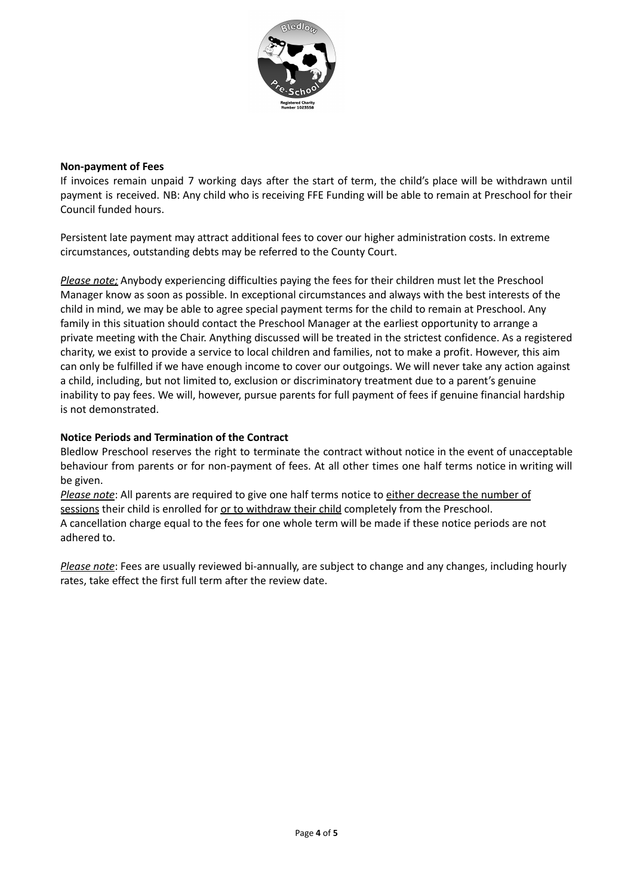

#### **Non-payment of Fees**

If invoices remain unpaid 7 working days after the start of term, the child's place will be withdrawn until payment is received. NB: Any child who is receiving FFE Funding will be able to remain at Preschool for their Council funded hours.

Persistent late payment may attract additional fees to cover our higher administration costs. In extreme circumstances, outstanding debts may be referred to the County Court.

*Please note;* Anybody experiencing difficulties paying the fees for their children must let the Preschool Manager know as soon as possible. In exceptional circumstances and always with the best interests of the child in mind, we may be able to agree special payment terms for the child to remain at Preschool. Any family in this situation should contact the Preschool Manager at the earliest opportunity to arrange a private meeting with the Chair. Anything discussed will be treated in the strictest confidence. As a registered charity, we exist to provide a service to local children and families, not to make a profit. However, this aim can only be fulfilled if we have enough income to cover our outgoings. We will never take any action against a child, including, but not limited to, exclusion or discriminatory treatment due to a parent's genuine inability to pay fees. We will, however, pursue parents for full payment of fees if genuine financial hardship is not demonstrated.

# **Notice Periods and Termination of the Contract**

Bledlow Preschool reserves the right to terminate the contract without notice in the event of unacceptable behaviour from parents or for non-payment of fees. At all other times one half terms notice in writing will be given.

*Please note*: All parents are required to give one half terms notice to either decrease the number of sessions their child is enrolled for or to withdraw their child completely from the Preschool. A cancellation charge equal to the fees for one whole term will be made if these notice periods are not adhered to.

*Please note*: Fees are usually reviewed bi-annually, are subject to change and any changes, including hourly rates, take effect the first full term after the review date.